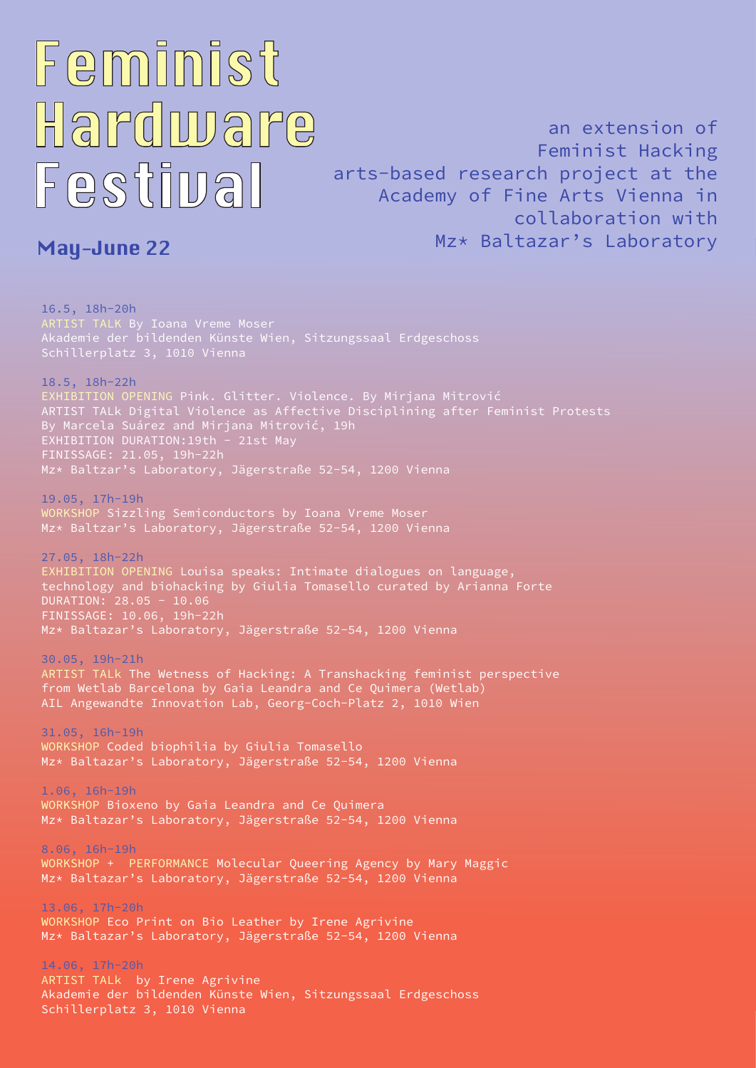16.5, 18h-20h [ARTIST TALK](https://meet.jit.si/fhf) By Ioana Vreme Moser Akademie der bildenden Künste Wien, Sitzungssaal Erdgeschoss Schillerplatz 3, 1010 Vienna

18.5, 18h-22h [EXHIBITION OPENING](https://meet.jit.si/fhf) Pink. Glitter. Violence. By Mirjana Mitrović ARTIST TALk Digital Violence as Affective Disciplining after Feminist Protests By Marcela Suárez and Mirjana Mitrović, 19h EXHIBITION DURATION: 19th - 21st May FINISSAGE: 21.05, 19h-22h Mz\* Baltzar's Laboratory, Jägerstraße 52-54, 1200 Vienna

19.05, 17h-19h [WORKSHOP](https://www.eventbrite.co.uk/e/336395948337) Sizzling Semiconductors by Ioana Vreme Moser Mz\* Baltzar's Laboratory, Jägerstraße 52-54, 1200 Vienna

27.05, 18h-22h EXHIBITION OPENING Louisa speaks: Intimate dialogues on language, technology and biohacking by Giulia Tomasello curated by Arianna Forte DURATION: 28.05 - 10.06 FINISSAGE: 10.06, 19h-22h Mz\* Baltazar's Laboratory, Jägerstraße 52-54, 1200 Vienna

## Feminist Hardware Festival

30.05, 19h-21h ARTIST TALk The Wetness of Hacking: A Transhacking feminist perspective from Wetlab Barcelona by Gaia Leandra and Ce Quimera (Wetlab) AIL Angewandte Innovation Lab, Georg-Coch-Platz 2, 1010 Wien

31.05, 16h-19h [WORKSHOP](https://www.eventbrite.co.uk/e/337134477297) Coded biophilia by Giulia Tomasello Mz\* Baltazar's Laboratory, Jägerstraße 52-54, 1200 Vienna

1.06, 16h-19h [WORKSHOP](https://www.eventbrite.co.uk/e/336402237147) Bioxeno by Gaia Leandra and Ce Quimera

Mz\* Baltazar's Laboratory, Jägerstraße 52-54, 1200 Vienna

8.06, 16h-19h [WORKSHOP + PERFORMANCE](https://www.eventbrite.co.uk/e/337182561117) Molecular Queering Agency by Mary Maggic Mz\* Baltazar's Laboratory, Jägerstraße 52-54, 1200 Vienna

13.06, 17h-20h [WORKSHOP](https://www.eventbrite.co.uk/e/337167235277) Eco Print on Bio Leather by Irene Agrivine Mz\* Baltazar's Laboratory, Jägerstraße 52-54, 1200 Vienna

14.06, 17h-20h [ARTIST TALk](https://meet.jit.si/fhf) by Irene Agrivine Akademie der bildenden Künste Wien, Sitzungssaal Erdgeschoss Schillerplatz 3, 1010 Vienna

## May-June 22

an extension of Feminist Hacking arts-based research project at the Academy of Fine Arts Vienna in collaboration with Mz\* Baltazar's Laboratory